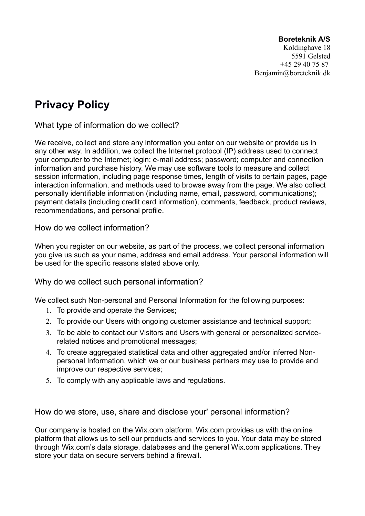## **Boreteknik A/S**

Koldinghave 18 5591 Gelsted +45 29 40 75 87 Benjamin@boreteknik.dk

## **Privacy Policy**

What type of information do we collect?

We receive, collect and store any information you enter on our website or provide us in any other way. In addition, we collect the Internet protocol (IP) address used to connect your computer to the Internet; login; e-mail address; password; computer and connection information and purchase history. We may use software tools to measure and collect session information, including page response times, length of visits to certain pages, page interaction information, and methods used to browse away from the page. We also collect personally identifiable information (including name, email, password, communications); payment details (including credit card information), comments, feedback, product reviews, recommendations, and personal profile.

How do we collect information?

When you register on our website, as part of the process, we collect personal information you give us such as your name, address and email address. Your personal information will be used for the specific reasons stated above only.

Why do we collect such personal information?

We collect such Non-personal and Personal Information for the following purposes:

- 1. To provide and operate the Services;
- 2. To provide our Users with ongoing customer assistance and technical support;
- 3. To be able to contact our Visitors and Users with general or personalized servicerelated notices and promotional messages;
- 4. To create aggregated statistical data and other aggregated and/or inferred Nonpersonal Information, which we or our business partners may use to provide and improve our respective services;
- 5. To comply with any applicable laws and regulations.

How do we store, use, share and disclose your' personal information?

Our company is hosted on the Wix.com platform. Wix.com provides us with the online platform that allows us to sell our products and services to you. Your data may be stored through Wix.com's data storage, databases and the general Wix.com applications. They store your data on secure servers behind a firewall.